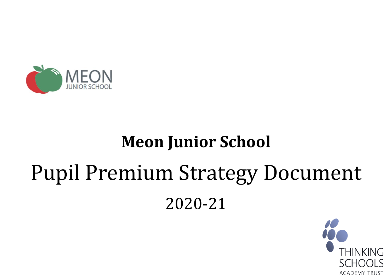

# **Meon Junior School**

# Pupil Premium Strategy Document 2020-21

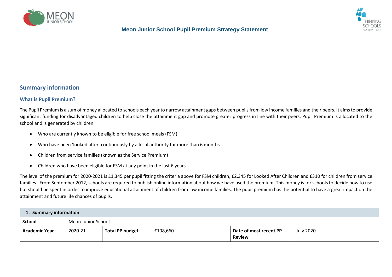



#### **Summary information**

#### **What is Pupil Premium?**

The Pupil Premium is a sum of money allocated to schools each year to narrow attainment gaps between pupils from low income families and their peers. It aims to provide significant funding for disadvantaged children to help close the attainment gap and promote greater progress in line with their peers. Pupil Premium is allocated to the school and is generated by children:

- Who are currently known to be eligible for free school meals (FSM)
- Who have been 'looked after' continuously by a local authority for more than 6 months
- Children from service families (known as the Service Premium)
- Children who have been eligible for FSM at any point in the last 6 years

The level of the premium for 2020-2021 is £1,345 per pupil fitting the criteria above for FSM children, £2,345 for Looked After Children and £310 for children from service families. From September 2012, schools are required to publish online information about how we have used the premium. This money is for schools to decide how to use but should be spent in order to improve educational attainment of children from low income families. The pupil premium has the potential to have a great impact on the attainment and future life chances of pupils.

| 1. Summary information |         |                        |          |                                         |                  |  |  |  |  |
|------------------------|---------|------------------------|----------|-----------------------------------------|------------------|--|--|--|--|
| <b>School</b>          |         | Meon Junior School     |          |                                         |                  |  |  |  |  |
| <b>Academic Year</b>   | 2020-21 | <b>Total PP budget</b> | £108,660 | Date of most recent PP<br><b>Review</b> | <b>July 2020</b> |  |  |  |  |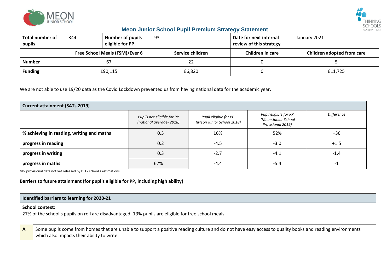



| <b>Total number of</b><br>pupils | 344                            | <b>Number of pupils</b><br>eligible for PP | 93               |        | Date for next internal<br>review of this strategy | January 2021               |  |
|----------------------------------|--------------------------------|--------------------------------------------|------------------|--------|---------------------------------------------------|----------------------------|--|
|                                  | Free School Meals (FSM)/Ever 6 |                                            | Service children |        | Children in care                                  | Children adopted from care |  |
| <b>Number</b>                    | 67                             |                                            |                  | 22     |                                                   |                            |  |
| <b>Funding</b>                   | £90,115                        |                                            |                  | £6,820 |                                                   | £11,725                    |  |

We are not able to use 19/20 data as the Covid Lockdown prevented us from having national data for the academic year.

| <b>Current attainment (SATs 2019)</b>     |                                                       |                                                    |                                                                   |            |  |  |  |  |  |
|-------------------------------------------|-------------------------------------------------------|----------------------------------------------------|-------------------------------------------------------------------|------------|--|--|--|--|--|
|                                           | Pupils not eligible for PP<br>(national average-2018) | Pupil eligible for PP<br>(Meon Junior School 2018) | Pupil eligible for PP<br>(Meon Junior School<br>Provisional 2019) | Difference |  |  |  |  |  |
| % achieving in reading, writing and maths | 0.3                                                   | 16%                                                | 52%                                                               | +36        |  |  |  |  |  |
| progress in reading                       | 0.2                                                   | $-4.5$                                             | $-3.0$                                                            | $+1.5$     |  |  |  |  |  |
| progress in writing                       | 0.3                                                   | $-2.7$                                             | $-4.1$                                                            | $-1.4$     |  |  |  |  |  |
| progress in maths                         | 67%                                                   | $-4.4$                                             | $-5.4$                                                            | -1         |  |  |  |  |  |

NB- provisional data not yet released by DFE- school's estimations.

#### **Barriers to future attainment (for pupils eligible for PP, including high ability)**

|   | Identified barriers to learning for 2020-21                                                                                                                                                           |  |  |  |  |  |  |  |  |
|---|-------------------------------------------------------------------------------------------------------------------------------------------------------------------------------------------------------|--|--|--|--|--|--|--|--|
|   | <b>School context:</b><br>27% of the school's pupils on roll are disadvantaged. 19% pupils are eligible for free school meals.                                                                        |  |  |  |  |  |  |  |  |
| A | Some pupils come from homes that are unable to support a positive reading culture and do not have easy access to quality books and reading environments<br>which also impacts their ability to write. |  |  |  |  |  |  |  |  |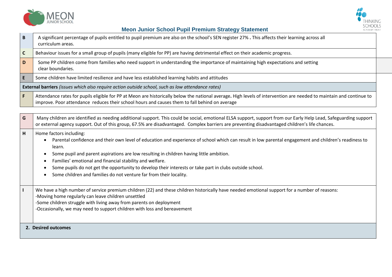



| $\mathbf B$  | A significant percentage of pupils entitled to pupil premium are also on the school's SEN register 27%. This affects their learning across all<br>curriculum areas.                                                                                                                                                                                                                                                                                               |
|--------------|-------------------------------------------------------------------------------------------------------------------------------------------------------------------------------------------------------------------------------------------------------------------------------------------------------------------------------------------------------------------------------------------------------------------------------------------------------------------|
| $\mathsf{C}$ | Behaviour issues for a small group of pupils (many eligible for PP) are having detrimental effect on their academic progress.                                                                                                                                                                                                                                                                                                                                     |
| D            | Some PP children come from families who need support in understanding the importance of maintaining high expectations and setting<br>clear boundaries.                                                                                                                                                                                                                                                                                                            |
| E            | Some children have limited resilience and have less established learning habits and attitudes                                                                                                                                                                                                                                                                                                                                                                     |
|              | External barriers (issues which also require action outside school, such as low attendance rates)                                                                                                                                                                                                                                                                                                                                                                 |
| F.           | Attendance rates for pupils eligible for PP at Meon are historically below the national average. High levels of intervention are needed to maintain and continue to<br>improve. Poor attendance reduces their school hours and causes them to fall behind on average                                                                                                                                                                                              |
|              |                                                                                                                                                                                                                                                                                                                                                                                                                                                                   |
| G            | Many children are identified as needing additional support. This could be social, emotional ELSA support, support from our Early Help Lead, Safeguarding support<br>or external agency support. Out of this group, 67.5% are disadvantaged. Complex barriers are preventing disadvantaged children's life chances.                                                                                                                                                |
| н            | Home factors including:<br>Parental confidence and their own level of education and experience of school which can result in low parental engagement and children's readiness to<br>learn.<br>Some pupil and parent aspirations are low resulting in children having little ambition.<br>Families' emotional and financial stability and welfare.<br>٠<br>Some pupils do not get the opportunity to develop their interests or take part in clubs outside school. |
|              | Some children and families do not venture far from their locality.                                                                                                                                                                                                                                                                                                                                                                                                |
| $\mathbf{I}$ | We have a high number of service premium children (22) and these children historically have needed emotional support for a number of reasons:<br>-Moving home regularly can leave children unsettled<br>-Some children struggle with living away from parents on deployment<br>-Occasionally, we may need to support children with loss and bereavement                                                                                                           |
|              | 2. Desired outcomes                                                                                                                                                                                                                                                                                                                                                                                                                                               |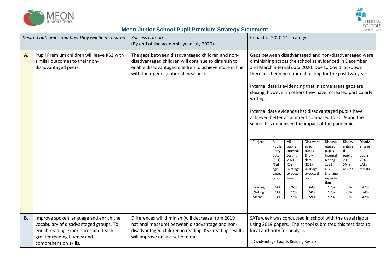



| Desired outcomes and how they will be measured |                                                                                                                                                                                  | Success criteria<br>(By end of the academic year July 2020)                                                                                                                                              |  | Impact of 2020-21 strategy                                                                                                                                                                    |                                                                                                         |                                                                                                                                                                                                                                                                                                                                                                                                                                                                                                                                                                                                                                                 |                                                                                                                       |                                                                                        |                                                                                 |
|------------------------------------------------|----------------------------------------------------------------------------------------------------------------------------------------------------------------------------------|----------------------------------------------------------------------------------------------------------------------------------------------------------------------------------------------------------|--|-----------------------------------------------------------------------------------------------------------------------------------------------------------------------------------------------|---------------------------------------------------------------------------------------------------------|-------------------------------------------------------------------------------------------------------------------------------------------------------------------------------------------------------------------------------------------------------------------------------------------------------------------------------------------------------------------------------------------------------------------------------------------------------------------------------------------------------------------------------------------------------------------------------------------------------------------------------------------------|-----------------------------------------------------------------------------------------------------------------------|----------------------------------------------------------------------------------------|---------------------------------------------------------------------------------|
| A.                                             | Pupil Premium children will leave KS2 with<br>similar outcomes to their non-<br>disadvantaged peers.                                                                             | The gaps between disadvantaged children and non-<br>disadvantaged children will continue to diminish to<br>enable disadvantaged children to achieve more in line<br>with their peers (national measure). |  | All<br>Pupils<br>Entry<br>data<br>(KS1)<br>% at<br>age<br>expec<br>tation<br>79%<br>70%<br>78%                                                                                                | All<br>pupils<br>Internal<br>testing<br>2021<br>KS2<br>% at age<br>expecta<br>tion<br>76%<br>77%<br>77% | Gaps between disadvantaged and non-disadvantaged were<br>diminishing across the school as evidenced in December<br>and March internal data 2020. Due to Covid lockdown<br>there has been no national testing for the past two years.<br>Internal data is evidencing that in some areas gaps are<br>closing, however in others they have increased particularly<br>Internal data evidence that disadvantaged pupils have<br>achieved better attainment compared to 2019 and the<br>school has minimised the impact of the pandemic.<br>Disadvant<br>aged<br>pupils<br>Entry<br>data<br>(KS1)<br>% at age<br>expectati<br>on<br>64%<br>50%<br>59% | Disadva<br>ntaged<br>pupils<br>Internal<br>testing<br>2021<br>KS2<br>% at age<br>expecta<br>tion<br>57%<br>57%<br>57% | Disadv<br>antage<br>d<br>pupils<br>2019<br><b>SATs</b><br>results<br>55%<br>73%<br>55% | Disadv<br>antage<br>d<br>pupils<br>2018<br>SATs<br>results<br>47%<br>74%<br>47% |
| <b>B.</b>                                      | Improve spoken language and enrich the<br>vocabulary of disadvantaged groups. To<br>enrich reading experiences and teach<br>greater reading fluency and<br>comprehension skills. | Differences will diminish (will decrease from 2019<br>national measure) between disadvantage and non-<br>disadvantaged children in reading. KS2 reading results<br>will improve on last set of data.     |  | SATs week was conducted in school with the usual rigour<br>using 2019 papers. The school submitted this test data to<br>local authority for analysis.<br>Disadvantaged pupils Reading Results |                                                                                                         |                                                                                                                                                                                                                                                                                                                                                                                                                                                                                                                                                                                                                                                 |                                                                                                                       |                                                                                        |                                                                                 |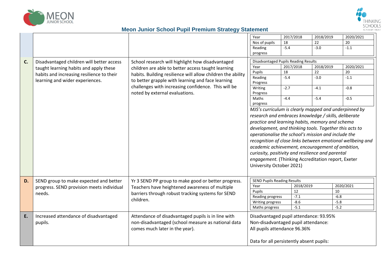



|    |                                           |                                                             | Year                                                                                                                                                                                                                     | 2017/2018 | 2018/2019 | 2020/2021 |  |
|----|-------------------------------------------|-------------------------------------------------------------|--------------------------------------------------------------------------------------------------------------------------------------------------------------------------------------------------------------------------|-----------|-----------|-----------|--|
|    |                                           |                                                             | Nos of pupils                                                                                                                                                                                                            | 18        | 22        | 20        |  |
|    |                                           |                                                             | Reading                                                                                                                                                                                                                  | $-5.4$    | $-3.0$    | $-1.1$    |  |
|    |                                           |                                                             | progress                                                                                                                                                                                                                 |           |           |           |  |
|    |                                           |                                                             |                                                                                                                                                                                                                          |           |           |           |  |
| C. | Disadvantaged children will better access | School research will highlight how disadvantaged            | Disadvantaged Pupils Reading Results                                                                                                                                                                                     |           |           |           |  |
|    | taught learning habits and apply these    | children are able to better access taught learning          | Year                                                                                                                                                                                                                     | 2017/2018 | 2018/2019 | 2020/2021 |  |
|    | habits and increasing resilience to their | habits. Building resilience will allow children the ability | Pupils                                                                                                                                                                                                                   | 18        | 22        | 20        |  |
|    | learning and wider experiences.           | to better grapple with learning and face learning           | Reading                                                                                                                                                                                                                  | $-5.4$    | $-3.0$    | $-1.1$    |  |
|    |                                           | challenges with increasing confidence. This will be         | Progress                                                                                                                                                                                                                 |           |           |           |  |
|    |                                           |                                                             | Writing                                                                                                                                                                                                                  | $-2.7$    | -4.1      | $-0.8$    |  |
|    |                                           | noted by external evaluations.                              | Progress                                                                                                                                                                                                                 |           |           |           |  |
|    |                                           |                                                             | Maths                                                                                                                                                                                                                    | $-4.4$    | $-5.4$    | $-0.5$    |  |
|    |                                           |                                                             | progress                                                                                                                                                                                                                 |           |           |           |  |
|    |                                           |                                                             | MJS's curriculum is clearly mapped and underpinned by                                                                                                                                                                    |           |           |           |  |
|    |                                           |                                                             | research and embraces knowledge / skills, deliberate<br>practice and learning habits, memory and schema<br>development, and thinking tools. Together this acts to<br>operationalise the school's mission and include the |           |           |           |  |
|    |                                           |                                                             |                                                                                                                                                                                                                          |           |           |           |  |
|    |                                           |                                                             |                                                                                                                                                                                                                          |           |           |           |  |
|    |                                           |                                                             |                                                                                                                                                                                                                          |           |           |           |  |
|    |                                           |                                                             |                                                                                                                                                                                                                          |           |           |           |  |
|    |                                           |                                                             | recognition of close links between emotional wellbeing and                                                                                                                                                               |           |           |           |  |
|    |                                           |                                                             | academic achievement, encouragement of ambition,                                                                                                                                                                         |           |           |           |  |
|    |                                           |                                                             | curiosity, positivity and resilience and parental                                                                                                                                                                        |           |           |           |  |
|    |                                           |                                                             | engagement. (Thinking Accreditation report, Exeter                                                                                                                                                                       |           |           |           |  |
|    |                                           |                                                             | University October 2021)                                                                                                                                                                                                 |           |           |           |  |
|    |                                           |                                                             |                                                                                                                                                                                                                          |           |           |           |  |
|    |                                           |                                                             |                                                                                                                                                                                                                          |           |           |           |  |
| D. | SEND group to make expected and better    | Yr 3 SEND PP group to make good or better progress.         | <b>SEND Pupils Reading Results</b>                                                                                                                                                                                       |           |           |           |  |
|    | progress. SEND provision meets individual | Teachers have heightened awareness of multiple              | Year                                                                                                                                                                                                                     | 2018/2019 |           | 2020/2021 |  |
|    | needs.                                    | barriers through robust tracking systems for SEND           | Pupils                                                                                                                                                                                                                   | 12        |           | 10        |  |
|    |                                           | children.                                                   | Reading progress                                                                                                                                                                                                         | $-7.1$    |           | $-6.8$    |  |
|    |                                           |                                                             | Writing progress                                                                                                                                                                                                         | $-8.6$    |           | $-5.8$    |  |
|    |                                           |                                                             | Maths progress                                                                                                                                                                                                           | $-5.1$    |           | $-5.2$    |  |
| E. | Increased attendance of disadvantaged     | Attendance of disadvantaged pupils is in line with          | Disadvantaged pupil attendance: 93.95%                                                                                                                                                                                   |           |           |           |  |
|    | pupils.                                   | non-disadvantaged (school measure as national data          | Non-disadvantaged pupil attendance:                                                                                                                                                                                      |           |           |           |  |
|    |                                           |                                                             |                                                                                                                                                                                                                          |           |           |           |  |
|    |                                           | comes much later in the year).                              | All pupils attendance 96.36%                                                                                                                                                                                             |           |           |           |  |
|    |                                           |                                                             |                                                                                                                                                                                                                          |           |           |           |  |
|    |                                           |                                                             | Data for all persistently absent pupils:                                                                                                                                                                                 |           |           |           |  |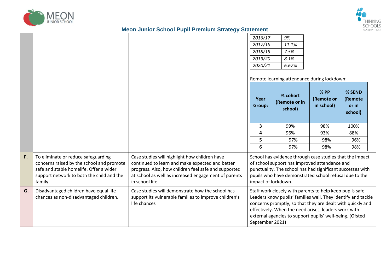



|    |                                                                                                                                                                                     |                                                                                                                                                                                                                                     | 2016/17<br>2017/18<br>2018/19<br>2019/20<br>2020/21                                                                                                                                                                                                                                                                            | 9%<br>11.1%<br>7.5%<br>8.1%<br>6.67%<br>Remote learning attendance during lockdown:                                                                                                                                                                      |                                  |                                       |  |
|----|-------------------------------------------------------------------------------------------------------------------------------------------------------------------------------------|-------------------------------------------------------------------------------------------------------------------------------------------------------------------------------------------------------------------------------------|--------------------------------------------------------------------------------------------------------------------------------------------------------------------------------------------------------------------------------------------------------------------------------------------------------------------------------|----------------------------------------------------------------------------------------------------------------------------------------------------------------------------------------------------------------------------------------------------------|----------------------------------|---------------------------------------|--|
|    |                                                                                                                                                                                     |                                                                                                                                                                                                                                     | Year<br>Group:                                                                                                                                                                                                                                                                                                                 | % cohort<br>(Remote or in<br>school)                                                                                                                                                                                                                     | % PP<br>(Remote or<br>in school) | % SEND<br>(Remote<br>or in<br>school) |  |
|    |                                                                                                                                                                                     |                                                                                                                                                                                                                                     | $\overline{\mathbf{3}}$                                                                                                                                                                                                                                                                                                        | 99%                                                                                                                                                                                                                                                      | 98%                              | 100%                                  |  |
|    |                                                                                                                                                                                     |                                                                                                                                                                                                                                     | 4                                                                                                                                                                                                                                                                                                                              | 96%                                                                                                                                                                                                                                                      | 93%                              | 88%                                   |  |
|    |                                                                                                                                                                                     |                                                                                                                                                                                                                                     | 5                                                                                                                                                                                                                                                                                                                              | 97%                                                                                                                                                                                                                                                      | 98%                              | 96%                                   |  |
|    |                                                                                                                                                                                     |                                                                                                                                                                                                                                     | 6                                                                                                                                                                                                                                                                                                                              | 97%                                                                                                                                                                                                                                                      | 98%                              | 98%                                   |  |
| F. | To eliminate or reduce safeguarding<br>concerns raised by the school and promote<br>safe and stable homelife. Offer a wider<br>support network to both the child and the<br>family. | Case studies will highlight how children have<br>continued to learn and make expected and better<br>progress. Also, how children feel safe and supported<br>at school as well as increased engagement of parents<br>in school life. |                                                                                                                                                                                                                                                                                                                                | School has evidence through case studies that the impact<br>of school support has improved attendance and<br>punctuality. The school has had significant successes with<br>pupils who have demonstrated school refusal due to the<br>impact of lockdown. |                                  |                                       |  |
| G. | Disadvantaged children have equal life<br>chances as non-disadvantaged children.                                                                                                    | Case studies will demonstrate how the school has<br>support its vulnerable families to improve children's<br>life chances                                                                                                           | Staff work closely with parents to help keep pupils safe.<br>Leaders know pupils' families well. They identify and tackle<br>concerns promptly, so that they are dealt with quickly and<br>effectively. When the need arises, leaders work with<br>external agencies to support pupils' well-being. (Ofsted<br>September 2021) |                                                                                                                                                                                                                                                          |                                  |                                       |  |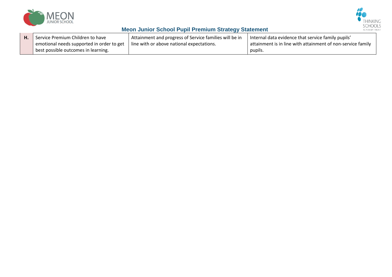



| Н. | Service Premium Children to have          | I Attainment and progress of Service families will be in | Internal data evidence that service family pupils'          |
|----|-------------------------------------------|----------------------------------------------------------|-------------------------------------------------------------|
|    | emotional needs supported in order to get | l line with or above national expectations.              | attainment is in line with attainment of non-service family |
|    | best possible outcomes in learning.       |                                                          | pupils.                                                     |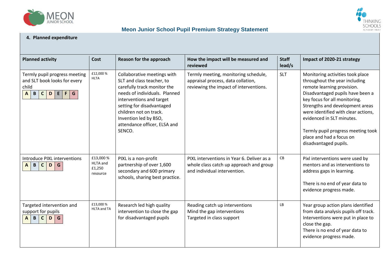



#### **4. Planned expenditure**

| <b>Planned activity</b>                                                                                                                    | Cost                                               | Reason for the approach                                                                                                                                                                                                                                                        | How the impact will be measured and<br>reviewed                                                                       | <b>Staff</b><br>lead/s | Impact of 2020-21 strategy                                                                                                                                                                                                                                                                                                                                             |
|--------------------------------------------------------------------------------------------------------------------------------------------|----------------------------------------------------|--------------------------------------------------------------------------------------------------------------------------------------------------------------------------------------------------------------------------------------------------------------------------------|-----------------------------------------------------------------------------------------------------------------------|------------------------|------------------------------------------------------------------------------------------------------------------------------------------------------------------------------------------------------------------------------------------------------------------------------------------------------------------------------------------------------------------------|
| Termly pupil progress meeting<br>and SLT book looks for every<br>child<br>$\mathbf{B}$<br>$\mathsf{C}$<br>$D$ $E$ $F$<br>G<br>$\mathbf{A}$ | £12,000 %<br><b>HLTA</b>                           | Collaborative meetings with<br>SLT and class teacher, to<br>carefully track monitor the<br>needs of individuals. Planned<br>interventions and target<br>setting for disadvantaged<br>children not on track.<br>Invention led by BSO,<br>attendance officer, ELSA and<br>SENCO. | Termly meeting, monitoring schedule,<br>appraisal process, data collation,<br>reviewing the impact of interventions.  | <b>SLT</b>             | Monitoring activities took place<br>throughout the year including<br>remote learning provision.<br>Disadvantaged pupils have been a<br>key focus for all monitoring.<br>Strengths and development areas<br>were identified with clear actions,<br>evidenced in SLT minutes.<br>Termly pupil progress meeting took<br>place and had a focus on<br>disadvantaged pupils. |
| Introduce PIXL interventions<br>$\mathsf{C}$<br>$A$ $B$<br>D<br>G                                                                          | £13,000 %<br><b>HLTA</b> and<br>£1,250<br>resource | PIXL is a non-profit<br>partnership of over 1,600<br>secondary and 600 primary<br>schools, sharing best practice.                                                                                                                                                              | PIXL interventions in Year 6. Deliver as a<br>whole class catch up approach and group<br>and individual intervention. | ${\sf CB}$             | Pixl interventions were used by<br>mentors and as interventions to<br>address gaps in learning.<br>There is no end of year data to<br>evidence progress made.                                                                                                                                                                                                          |
| Targeted intervention and<br>support for pupils<br>$\mathbf{B}$<br>$\mathsf{C}$<br>G<br>$\mathsf{A}$<br>D                                  | £13,000 %<br>HLTA and TA                           | Research led high quality<br>intervention to close the gap<br>for disadvantaged pupils                                                                                                                                                                                         | Reading catch up interventions<br>Mind the gap interventions<br>Targeted in class support                             | LВ                     | Year group action plans identified<br>from data analysis pupils off track.<br>Interventions were put in place to<br>close the gap.<br>There is no end of year data to<br>evidence progress made.                                                                                                                                                                       |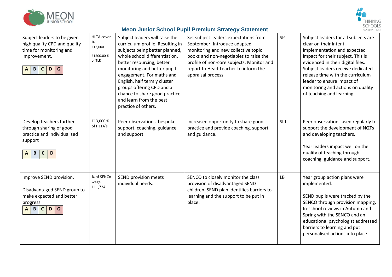



| Subject leaders to be given<br>high quality CPD and quality<br>time for monitoring and<br>improvement.<br>$\mathbf{B}$<br>G<br>$\mathbf{C}$<br>$\mathbf{A}$<br>D | <b>HLTA</b> cover<br>%<br>£12,000<br>£1500.00 %<br>of TLR | Subject leaders will raise the<br>curriculum profile. Resulting in<br>subjects being better planned,<br>whole school differentiation,<br>better resourcing, better<br>monitoring and better pupil<br>engagement. For maths and<br>English, half termly cluster<br>groups offering CPD and a<br>chance to share good practice<br>and learn from the best<br>practice of others. | Set subject leaders expectations from<br>September. Introduce adapted<br>monitoring and new collective topic<br>books and non-negotiables to raise the<br>profile of non-core subjects. Monitor and<br>report to Head Teacher to inform the<br>appraisal process. | SP         | Subject leaders for all subjects are<br>clear on their intent,<br>implementation and expected<br>impact for their subject. This is<br>evidenced in their digital files.<br>Subject leaders receive dedicated<br>release time with the curriculum<br>leader to ensure impact of<br>monitoring and actions on quality<br>of teaching and learning. |
|------------------------------------------------------------------------------------------------------------------------------------------------------------------|-----------------------------------------------------------|--------------------------------------------------------------------------------------------------------------------------------------------------------------------------------------------------------------------------------------------------------------------------------------------------------------------------------------------------------------------------------|-------------------------------------------------------------------------------------------------------------------------------------------------------------------------------------------------------------------------------------------------------------------|------------|--------------------------------------------------------------------------------------------------------------------------------------------------------------------------------------------------------------------------------------------------------------------------------------------------------------------------------------------------|
| Develop teachers further<br>through sharing of good<br>practice and individualised<br>support<br>$\, {\bf B} \,$<br>$\mathsf{C}$<br>D<br>A                       | £13,000 %<br>of HLTA's                                    | Peer observations, bespoke<br>support, coaching, guidance<br>and support.                                                                                                                                                                                                                                                                                                      | Increased opportunity to share good<br>practice and provide coaching, support<br>and guidance.                                                                                                                                                                    | <b>SLT</b> | Peer observations used regularly to<br>support the development of NQTs<br>and developing teachers.<br>Year leaders impact well on the<br>quality of teaching through<br>coaching, guidance and support.                                                                                                                                          |
| Improve SEND provision.<br>Disadvantaged SEND group to<br>make expected and better<br>progress.<br>G<br>$\mathbf{A}$<br>B<br>$\mathsf{C}$<br>D                   | % of SENCo<br>wage<br>£11,724                             | SEND provision meets<br>individual needs.                                                                                                                                                                                                                                                                                                                                      | SENCO to closely monitor the class<br>provision of disadvantaged SEND<br>children. SEND plan identifies barriers to<br>learning and the support to be put in<br>place.                                                                                            | LB         | Year group action plans were<br>implemented.<br>SEND pupils were tracked by the<br>SENCO through provision mapping.<br>In-school reviews in Autumn and<br>Spring with the SENCO and an<br>educational psychologist addressed<br>barriers to learning and put<br>personalised actions into place.                                                 |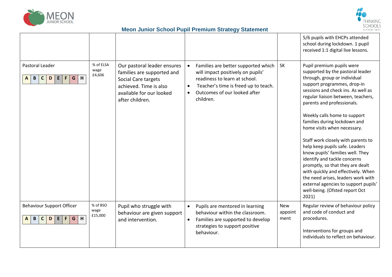



|                                                                                  |                             |                                                                                                                                                           |           |                                                                                                                                                                                                |                               | 5/6 pupils with EHCPs attended<br>school during lockdown. 1 pupil<br>received 1:1 digital live lessons.                                                                                                                                                                                                                                                                                                                                                                                                                                                                                                                                                                              |
|----------------------------------------------------------------------------------|-----------------------------|-----------------------------------------------------------------------------------------------------------------------------------------------------------|-----------|------------------------------------------------------------------------------------------------------------------------------------------------------------------------------------------------|-------------------------------|--------------------------------------------------------------------------------------------------------------------------------------------------------------------------------------------------------------------------------------------------------------------------------------------------------------------------------------------------------------------------------------------------------------------------------------------------------------------------------------------------------------------------------------------------------------------------------------------------------------------------------------------------------------------------------------|
| Pastoral Leader<br>$E$ $F$<br>G<br>$\mathsf{C}$<br>D<br>H<br>$\mathbf{B}$<br>A   | % of ELSA<br>wage<br>£4,606 | Our pastoral leader ensures<br>families are supported and<br>Social Care targets<br>achieved. Time is also<br>available for our looked<br>after children. |           | Families are better supported which<br>will impact positively on pupils'<br>readiness to learn at school.<br>Teacher's time is freed up to teach.<br>Outcomes of our looked after<br>children. | <b>SK</b>                     | Pupil premium pupils were<br>supported by the pastoral leader<br>through, group or individual<br>support programmes, drop-in<br>sessions and check ins. As well as<br>regular liaison between, teachers,<br>parents and professionals.<br>Weekly calls home to support<br>families during lockdown and<br>home visits when necessary.<br>Staff work closely with parents to<br>help keep pupils safe. Leaders<br>know pupils' families well. They<br>identify and tackle concerns<br>promptly, so that they are dealt<br>with quickly and effectively. When<br>the need arises, leaders work with<br>external agencies to support pupils'<br>well-being. (Ofsted report Oct<br>2021) |
| <b>Behaviour Support Officer</b><br>H<br>$B \mid C$<br>$E \mid F$<br>G<br>D<br>A | % of BSO<br>wage<br>£15,000 | Pupil who struggle with<br>behaviour are given support<br>and intervention.                                                                               | $\bullet$ | Pupils are mentored in learning<br>behaviour within the classroom.<br>Families are supported to develop<br>strategies to support positive<br>behaviour.                                        | <b>New</b><br>appoint<br>ment | Regular review of behaviour policy<br>and code of conduct and<br>procedures.<br>Interventions for groups and<br>individuals to reflect on behaviour.                                                                                                                                                                                                                                                                                                                                                                                                                                                                                                                                 |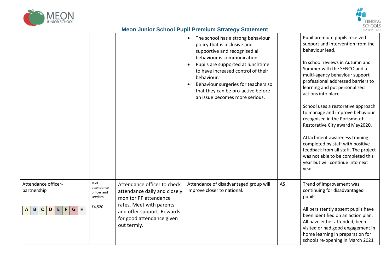



|                                                                                                 |                                                           |                                                                                                                                                                                            | The school has a strong behaviour<br>policy that is inclusive and<br>supportive and recognised all<br>behaviour is communication.<br>Pupils are supported at lunchtime<br>$\bullet$<br>to have increased control of their<br>behaviour.<br>Behaviour surgeries for teachers so<br>that they can be pro-active before<br>an issue becomes more serious. |    | Pupil premium pupils received<br>support and intervention from the<br>behaviour lead.<br>In school reviews in Autumn and<br>Summer with the SENCO and a<br>multi-agency behaviour support<br>professional addressed barriers to<br>learning and put personalised<br>actions into place.<br>School uses a restorative approach<br>to manage and improve behaviour<br>recognised in the Portsmouth<br>Restorative City award May2020.<br>Attachment awareness training<br>completed by staff with positive<br>feedback from all staff. The project<br>was not able to be completed this<br>year but will continue into next<br>year. |
|-------------------------------------------------------------------------------------------------|-----------------------------------------------------------|--------------------------------------------------------------------------------------------------------------------------------------------------------------------------------------------|--------------------------------------------------------------------------------------------------------------------------------------------------------------------------------------------------------------------------------------------------------------------------------------------------------------------------------------------------------|----|------------------------------------------------------------------------------------------------------------------------------------------------------------------------------------------------------------------------------------------------------------------------------------------------------------------------------------------------------------------------------------------------------------------------------------------------------------------------------------------------------------------------------------------------------------------------------------------------------------------------------------|
| Attendance officer-<br>partnership<br>G<br>$\mathsf F$<br>H<br>$\mathbf{C}$<br>D<br>E<br>B<br>A | $%$ of<br>attendance<br>officer and<br>services<br>£4,520 | Attendance officer to check<br>attendance daily and closely<br>monitor PP attendance<br>rates. Meet with parents<br>and offer support. Rewards<br>for good attendance given<br>out termly. | Attendance of disadvantaged group will<br>improve closer to national.                                                                                                                                                                                                                                                                                  | AS | Trend of improvement was<br>continuing for disadvantaged<br>pupils.<br>All persistently absent pupils have<br>been identified on an action plan.<br>All have either attended, been<br>visited or had good engagement in<br>home learning in preparation for<br>schools re-opening in March 2021                                                                                                                                                                                                                                                                                                                                    |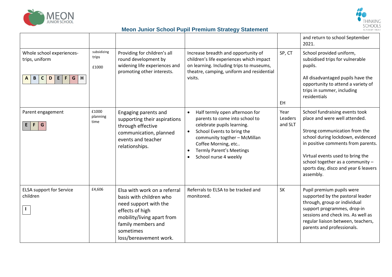



|                                                                                                                     |                               |                                                                                                                                                                                                |                                                                                                                                                                                                                                                                                        |                            | and return to school September<br>2021.                                                                                                                                                                                                                                                                  |
|---------------------------------------------------------------------------------------------------------------------|-------------------------------|------------------------------------------------------------------------------------------------------------------------------------------------------------------------------------------------|----------------------------------------------------------------------------------------------------------------------------------------------------------------------------------------------------------------------------------------------------------------------------------------|----------------------------|----------------------------------------------------------------------------------------------------------------------------------------------------------------------------------------------------------------------------------------------------------------------------------------------------------|
| Whole school experiences-<br>trips, uniform<br>H<br>$\mathbf{B}$<br>$\mathsf F$<br>G<br>$\mathsf{C}$<br>D<br>E<br>A | subsidizing<br>trips<br>£1000 | Providing for children's all<br>round development by<br>widening life experiences and<br>promoting other interests.                                                                            | Increase breadth and opportunity of<br>children's life experiences which impact<br>on learning. Including trips to museums,<br>theatre, camping, uniform and residential<br>visits.                                                                                                    | SP, CT<br>EH.              | School provided uniform,<br>subsidised trips for vulnerable<br>pupils.<br>All disadvantaged pupils have the<br>opportunity to attend a variety of<br>trips in summer, including<br>residentials                                                                                                          |
| Parent engagement<br>$\mathsf F$<br>G<br>E.                                                                         | £1000<br>planning<br>time     | Engaging parents and<br>supporting their aspirations<br>through effective<br>communication, planned<br>events and teacher<br>relationships.                                                    | Half termly open afternoon for<br>$\bullet$<br>parents to come into school to<br>celebrate pupils learning.<br>School Events to bring the<br>$\bullet$<br>community togther - McMillan<br>Coffee Morning, etc<br><b>Termly Parent's Meetings</b><br>School nurse 4 weekly<br>$\bullet$ | Year<br>Leaders<br>and SLT | School fundraising events took<br>place and were well attended.<br>Strong communication from the<br>school during lockdown, evidenced<br>in positive comments from parents.<br>Virtual events used to bring the<br>school together as a community -<br>sports day, disco and year 6 leavers<br>assembly. |
| <b>ELSA support for Service</b><br>children                                                                         | £4,606                        | Elsa with work on a referral<br>basis with children who<br>need support with the<br>effects of high<br>mobility/living apart from<br>family members and<br>sometimes<br>loss/bereavement work. | Referrals to ELSA to be tracked and<br>monitored.                                                                                                                                                                                                                                      | <b>SK</b>                  | Pupil premium pupils were<br>supported by the pastoral leader<br>through, group or individual<br>support programmes, drop-in<br>sessions and check ins. As well as<br>regular liaison between, teachers,<br>parents and professionals.                                                                   |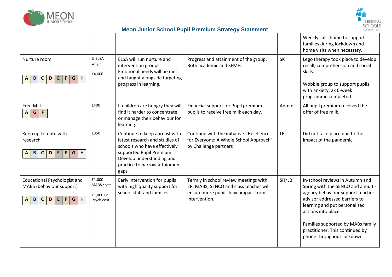



|                                                                                                                                                     |                                                        |                                                                                                                                                                                                   |                                                                                                                                         |           | Weekly calls home to support<br>families during lockdown and<br>home visits when necessary.                                                                                                                                                                                                              |
|-----------------------------------------------------------------------------------------------------------------------------------------------------|--------------------------------------------------------|---------------------------------------------------------------------------------------------------------------------------------------------------------------------------------------------------|-----------------------------------------------------------------------------------------------------------------------------------------|-----------|----------------------------------------------------------------------------------------------------------------------------------------------------------------------------------------------------------------------------------------------------------------------------------------------------------|
| Nurture room<br>H<br>$\mathbf{B}$<br>G<br>$\mathsf{C}$<br>D<br>E<br>F<br>A                                                                          | % ELSA<br>wage<br>£4,606                               | ELSA will run nurture and<br>intervention groups.<br>Emotional needs will be met<br>and taught alongside targeting<br>progress in learning.                                                       | Progress and attainment of the group.<br>Both academic and SEMH.                                                                        | <b>SK</b> | Lego therapy took place to develop<br>recall, comprehension and social<br>skills.<br>Wobble group to support pupils<br>with anxiety, 2x 6-week<br>programme completed.                                                                                                                                   |
| Free Milk<br>$\mathsf{G}$<br>$\boldsymbol{\mathsf{A}}$<br>$\mathsf F$                                                                               | £400                                                   | If children are hungry they will<br>find it harder to concentrate<br>or manage their behaviour for<br>learning.                                                                                   | Financial support for Pupil premium<br>pupils to receive free milk each day.                                                            | Admin     | All pupil premium received the<br>offer of free milk.                                                                                                                                                                                                                                                    |
| Keep up-to-date with<br>research.<br>$\vert$ B<br>$\mathsf{C}$<br>$\mathbf D$<br>E<br>$\mathsf F$<br>G<br>H<br>$\mathbf{A}$                         | £350                                                   | Continue to keep abreast with<br>latest research and studies of<br>schools who have effectively<br>supported Pupil Premium.<br>Develop understanding and<br>practice to narrow attainment<br>gaps | Continue with the initiative 'Excellence<br>for Everyone: A Whole School Approach'<br>by Challenge partners                             | <b>LR</b> | Did not take place due to the<br>impact of the pandemic.                                                                                                                                                                                                                                                 |
| <b>Educational Psychologist and</b><br>MABS (behaviour support)<br>H<br>$\mathsf{C}$<br>$\mathsf{F}$<br>G<br>$\mathbf{B}$<br>D<br>E<br>$\mathbf{A}$ | £1,000<br><b>MABS</b> costs<br>£1,000 Ed<br>Psych cost | Early intervention for pupils<br>with high quality support for<br>school staff and families                                                                                                       | Termly in school review meetings with<br>EP, MABS, SENCO and class teacher will<br>ensure more pupils have impact from<br>intervention. | SH/LB     | In-school reviews in Autumn and<br>Spring with the SENCO and a multi-<br>agency behaviour support teacher<br>advisor addressed barriers to<br>learning and put personalised<br>actions into place.<br>Families supported by MABs family<br>practitioner. This continued by<br>phone throughout lockdown. |